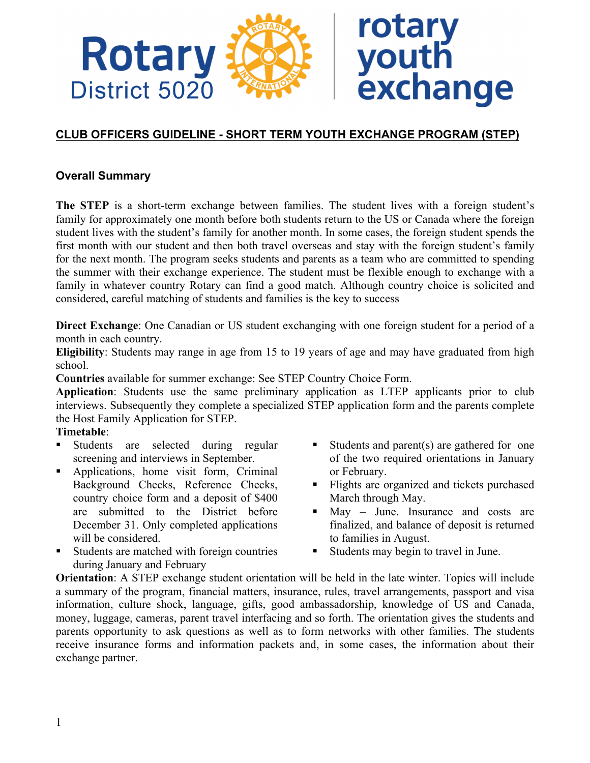

# **CLUB OFFICERS GUIDELINE - SHORT TERM YOUTH EXCHANGE PROGRAM (STEP)**

# **Overall Summary**

**The STEP** is a short-term exchange between families. The student lives with a foreign student's family for approximately one month before both students return to the US or Canada where the foreign student lives with the student's family for another month. In some cases, the foreign student spends the first month with our student and then both travel overseas and stay with the foreign student's family for the next month. The program seeks students and parents as a team who are committed to spending the summer with their exchange experience. The student must be flexible enough to exchange with a family in whatever country Rotary can find a good match. Although country choice is solicited and considered, careful matching of students and families is the key to success

**Direct Exchange**: One Canadian or US student exchanging with one foreign student for a period of a month in each country.

**Eligibility**: Students may range in age from 15 to 19 years of age and may have graduated from high school.

**Countries** available for summer exchange: See STEP Country Choice Form.

**Application**: Students use the same preliminary application as LTEP applicants prior to club interviews. Subsequently they complete a specialized STEP application form and the parents complete the Host Family Application for STEP.

#### **Timetable**:

- § Students are selected during regular screening and interviews in September.
- § Applications, home visit form, Criminal Background Checks, Reference Checks, country choice form and a deposit of \$400 are submitted to the District before December 31. Only completed applications will be considered.
- Students are matched with foreign countries during January and February
- Students and parent(s) are gathered for one of the two required orientations in January or February.
- § Flights are organized and tickets purchased March through May.
- § May June. Insurance and costs are finalized, and balance of deposit is returned to families in August.
- § Students may begin to travel in June.

**Orientation**: A STEP exchange student orientation will be held in the late winter. Topics will include a summary of the program, financial matters, insurance, rules, travel arrangements, passport and visa information, culture shock, language, gifts, good ambassadorship, knowledge of US and Canada, money, luggage, cameras, parent travel interfacing and so forth. The orientation gives the students and parents opportunity to ask questions as well as to form networks with other families. The students receive insurance forms and information packets and, in some cases, the information about their exchange partner.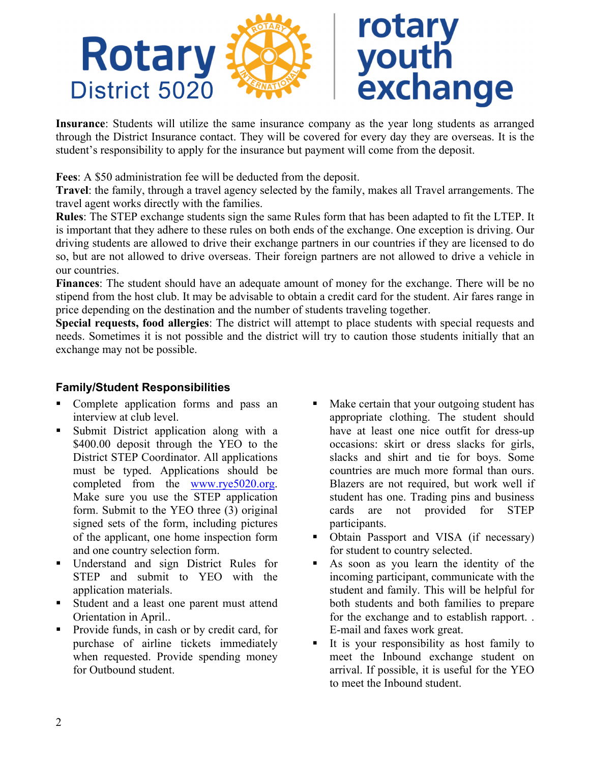

**Insurance**: Students will utilize the same insurance company as the year long students as arranged through the District Insurance contact. They will be covered for every day they are overseas. It is the student's responsibility to apply for the insurance but payment will come from the deposit.

**Fees**: A \$50 administration fee will be deducted from the deposit.

**Travel**: the family, through a travel agency selected by the family, makes all Travel arrangements. The travel agent works directly with the families.

**Rules**: The STEP exchange students sign the same Rules form that has been adapted to fit the LTEP. It is important that they adhere to these rules on both ends of the exchange. One exception is driving. Our driving students are allowed to drive their exchange partners in our countries if they are licensed to do so, but are not allowed to drive overseas. Their foreign partners are not allowed to drive a vehicle in our countries.

**Finances**: The student should have an adequate amount of money for the exchange. There will be no stipend from the host club. It may be advisable to obtain a credit card for the student. Air fares range in price depending on the destination and the number of students traveling together.

**Special requests, food allergies**: The district will attempt to place students with special requests and needs. Sometimes it is not possible and the district will try to caution those students initially that an exchange may not be possible.

# **Family/Student Responsibilities**

- § Complete application forms and pass an interview at club level.
- § Submit District application along with a \$400.00 deposit through the YEO to the District STEP Coordinator. All applications must be typed. Applications should be completed from the www.rye5020.org. Make sure you use the STEP application form. Submit to the YEO three (3) original signed sets of the form, including pictures of the applicant, one home inspection form and one country selection form.
- § Understand and sign District Rules for STEP and submit to YEO with the application materials.
- Student and a least one parent must attend Orientation in April..
- Provide funds, in cash or by credit card, for purchase of airline tickets immediately when requested. Provide spending money for Outbound student.
- Make certain that your outgoing student has appropriate clothing. The student should have at least one nice outfit for dress-up occasions: skirt or dress slacks for girls, slacks and shirt and tie for boys. Some countries are much more formal than ours. Blazers are not required, but work well if student has one. Trading pins and business cards are not provided for STEP participants.
- Obtain Passport and VISA (if necessary) for student to country selected.
- As soon as you learn the identity of the incoming participant, communicate with the student and family. This will be helpful for both students and both families to prepare for the exchange and to establish rapport. . E-mail and faxes work great.
- § It is your responsibility as host family to meet the Inbound exchange student on arrival. If possible, it is useful for the YEO to meet the Inbound student.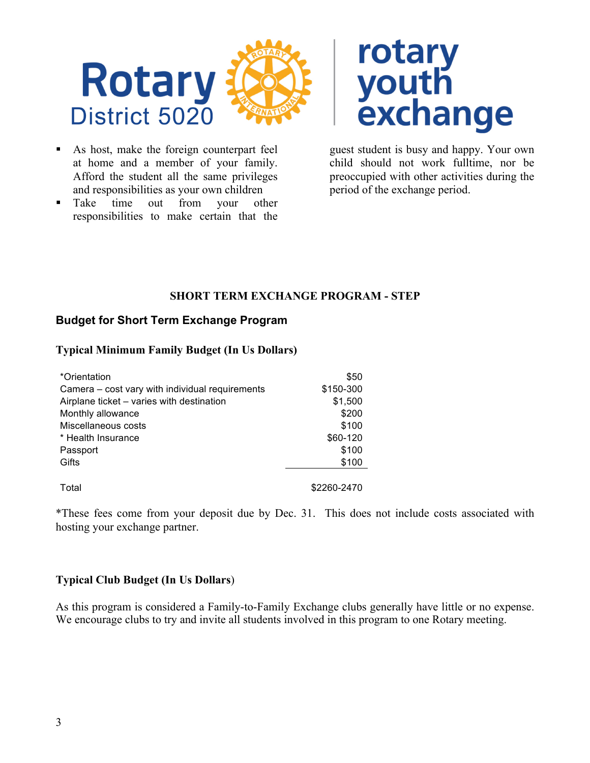

- As host, make the foreign counterpart feel at home and a member of your family. Afford the student all the same privileges and responsibilities as your own children
- Take time out from your other responsibilities to make certain that the



guest student is busy and happy. Your own child should not work fulltime, nor be preoccupied with other activities during the period of the exchange period.

# **SHORT TERM EXCHANGE PROGRAM - STEP**

# **Budget for Short Term Exchange Program**

#### **Typical Minimum Family Budget (In Us Dollars)**

| *Orientation                                    | \$50        |
|-------------------------------------------------|-------------|
| Camera – cost vary with individual requirements | \$150-300   |
| Airplane ticket - varies with destination       | \$1,500     |
| Monthly allowance                               | \$200       |
| Miscellaneous costs                             | \$100       |
| * Health Insurance                              | \$60-120    |
| Passport                                        | \$100       |
| Gifts                                           | \$100       |
|                                                 |             |
| Total                                           | \$2260-2470 |

\*These fees come from your deposit due by Dec. 31. This does not include costs associated with hosting your exchange partner.

# **Typical Club Budget (In Us Dollars**)

As this program is considered a Family-to-Family Exchange clubs generally have little or no expense. We encourage clubs to try and invite all students involved in this program to one Rotary meeting.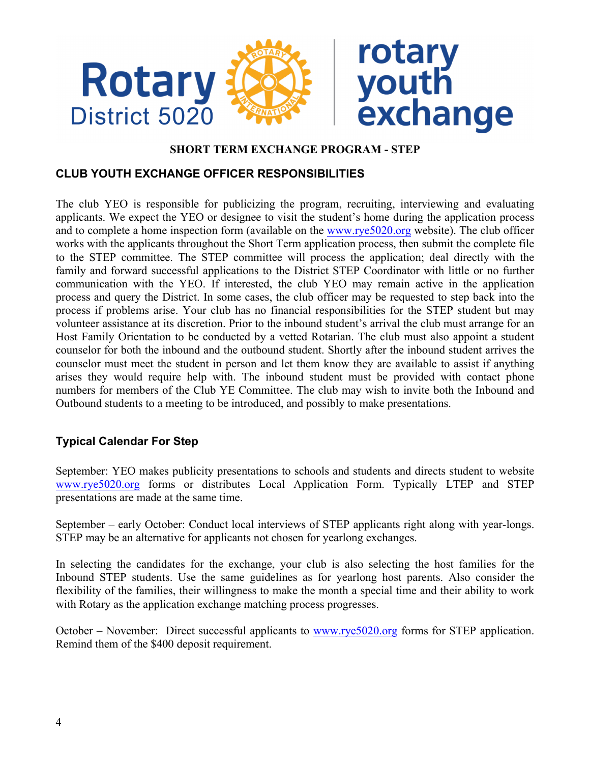

#### **SHORT TERM EXCHANGE PROGRAM - STEP**

### **CLUB YOUTH EXCHANGE OFFICER RESPONSIBILITIES**

The club YEO is responsible for publicizing the program, recruiting, interviewing and evaluating applicants. We expect the YEO or designee to visit the student's home during the application process and to complete a home inspection form (available on the www.rye5020.org website). The club officer works with the applicants throughout the Short Term application process, then submit the complete file to the STEP committee. The STEP committee will process the application; deal directly with the family and forward successful applications to the District STEP Coordinator with little or no further communication with the YEO. If interested, the club YEO may remain active in the application process and query the District. In some cases, the club officer may be requested to step back into the process if problems arise. Your club has no financial responsibilities for the STEP student but may volunteer assistance at its discretion. Prior to the inbound student's arrival the club must arrange for an Host Family Orientation to be conducted by a vetted Rotarian. The club must also appoint a student counselor for both the inbound and the outbound student. Shortly after the inbound student arrives the counselor must meet the student in person and let them know they are available to assist if anything arises they would require help with. The inbound student must be provided with contact phone numbers for members of the Club YE Committee. The club may wish to invite both the Inbound and Outbound students to a meeting to be introduced, and possibly to make presentations.

# **Typical Calendar For Step**

September: YEO makes publicity presentations to schools and students and directs student to website www.rye5020.org forms or distributes Local Application Form. Typically LTEP and STEP presentations are made at the same time.

September – early October: Conduct local interviews of STEP applicants right along with year-longs. STEP may be an alternative for applicants not chosen for yearlong exchanges.

In selecting the candidates for the exchange, your club is also selecting the host families for the Inbound STEP students. Use the same guidelines as for yearlong host parents. Also consider the flexibility of the families, their willingness to make the month a special time and their ability to work with Rotary as the application exchange matching process progresses.

October – November: Direct successful applicants to www.rye5020.org forms for STEP application. Remind them of the \$400 deposit requirement.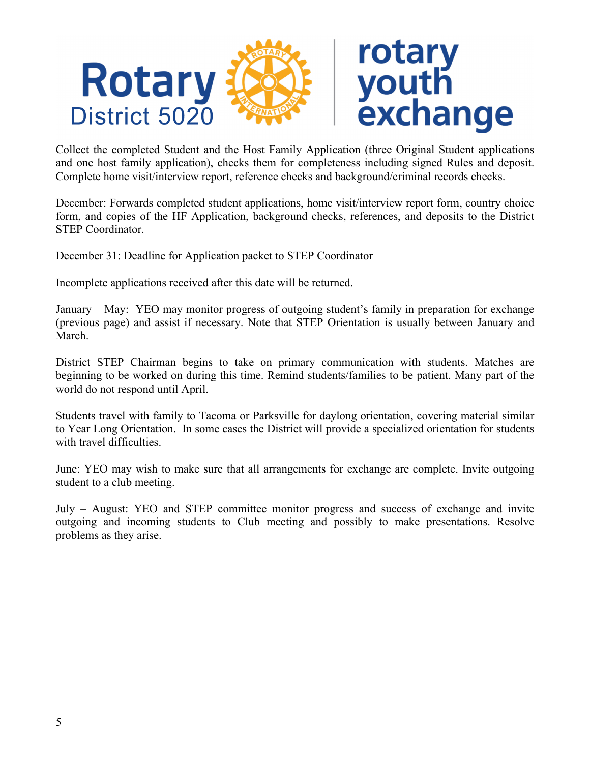

Collect the completed Student and the Host Family Application (three Original Student applications and one host family application), checks them for completeness including signed Rules and deposit. Complete home visit/interview report, reference checks and background/criminal records checks.

December: Forwards completed student applications, home visit/interview report form, country choice form, and copies of the HF Application, background checks, references, and deposits to the District STEP Coordinator.

December 31: Deadline for Application packet to STEP Coordinator

Incomplete applications received after this date will be returned.

January – May: YEO may monitor progress of outgoing student's family in preparation for exchange (previous page) and assist if necessary. Note that STEP Orientation is usually between January and March.

District STEP Chairman begins to take on primary communication with students. Matches are beginning to be worked on during this time. Remind students/families to be patient. Many part of the world do not respond until April.

Students travel with family to Tacoma or Parksville for daylong orientation, covering material similar to Year Long Orientation. In some cases the District will provide a specialized orientation for students with travel difficulties.

June: YEO may wish to make sure that all arrangements for exchange are complete. Invite outgoing student to a club meeting.

July – August: YEO and STEP committee monitor progress and success of exchange and invite outgoing and incoming students to Club meeting and possibly to make presentations. Resolve problems as they arise.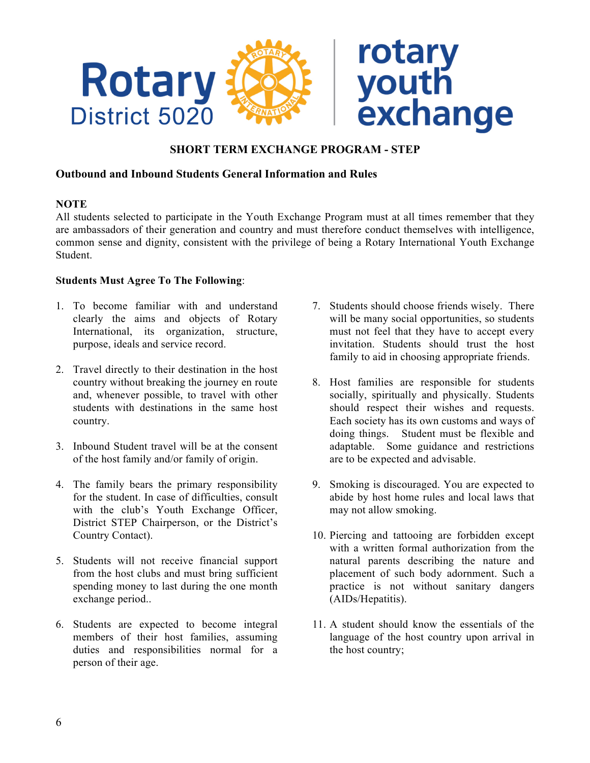

#### **SHORT TERM EXCHANGE PROGRAM - STEP**

#### **Outbound and Inbound Students General Information and Rules**

#### **NOTE**

All students selected to participate in the Youth Exchange Program must at all times remember that they are ambassadors of their generation and country and must therefore conduct themselves with intelligence, common sense and dignity, consistent with the privilege of being a Rotary International Youth Exchange Student.

#### **Students Must Agree To The Following**:

- 1. To become familiar with and understand clearly the aims and objects of Rotary International, its organization, structure, purpose, ideals and service record.
- 2. Travel directly to their destination in the host country without breaking the journey en route and, whenever possible, to travel with other students with destinations in the same host country.
- 3. Inbound Student travel will be at the consent of the host family and/or family of origin.
- 4. The family bears the primary responsibility for the student. In case of difficulties, consult with the club's Youth Exchange Officer, District STEP Chairperson, or the District's Country Contact).
- 5. Students will not receive financial support from the host clubs and must bring sufficient spending money to last during the one month exchange period..
- 6. Students are expected to become integral members of their host families, assuming duties and responsibilities normal for a person of their age.
- 7. Students should choose friends wisely. There will be many social opportunities, so students must not feel that they have to accept every invitation. Students should trust the host family to aid in choosing appropriate friends.
- 8. Host families are responsible for students socially, spiritually and physically. Students should respect their wishes and requests. Each society has its own customs and ways of doing things. Student must be flexible and adaptable. Some guidance and restrictions are to be expected and advisable.
- 9. Smoking is discouraged. You are expected to abide by host home rules and local laws that may not allow smoking.
- 10. Piercing and tattooing are forbidden except with a written formal authorization from the natural parents describing the nature and placement of such body adornment. Such a practice is not without sanitary dangers (AIDs/Hepatitis).
- 11. A student should know the essentials of the language of the host country upon arrival in the host country;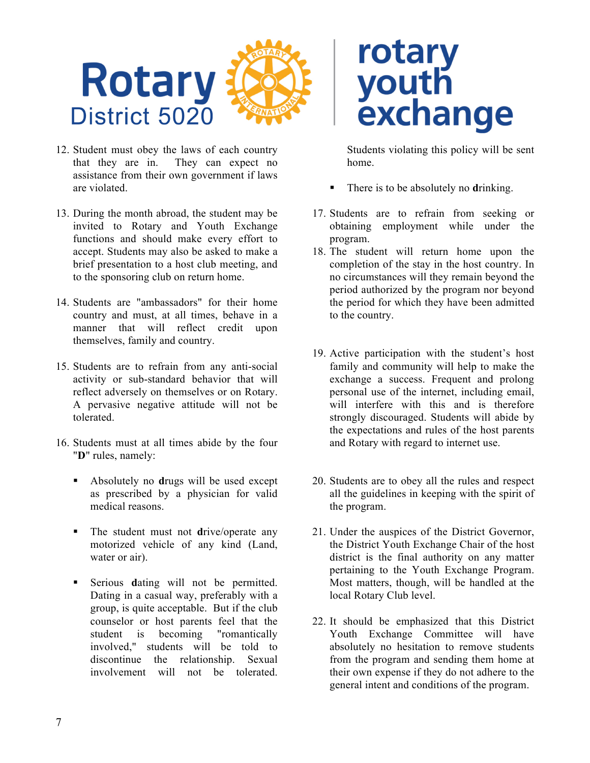

- 12. Student must obey the laws of each country that they are in. They can expect no assistance from their own government if laws are violated.
- 13. During the month abroad, the student may be invited to Rotary and Youth Exchange functions and should make every effort to accept. Students may also be asked to make a brief presentation to a host club meeting, and to the sponsoring club on return home.
- 14. Students are "ambassadors" for their home country and must, at all times, behave in a manner that will reflect credit upon themselves, family and country.
- 15. Students are to refrain from any anti-social activity or sub-standard behavior that will reflect adversely on themselves or on Rotary. A pervasive negative attitude will not be tolerated.
- 16. Students must at all times abide by the four "**D**" rules, namely:
	- § Absolutely no **d**rugs will be used except as prescribed by a physician for valid medical reasons.
	- The student must not drive/operate any motorized vehicle of any kind (Land, water or air).
	- § Serious **d**ating will not be permitted. Dating in a casual way, preferably with a group, is quite acceptable. But if the club counselor or host parents feel that the student is becoming "romantically involved," students will be told to discontinue the relationship. Sexual involvement will not be tolerated.

# rotary<br>youth<br>exchange

Students violating this policy will be sent home.

- § There is to be absolutely no **d**rinking.
- 17. Students are to refrain from seeking or obtaining employment while under the program.
- 18. The student will return home upon the completion of the stay in the host country. In no circumstances will they remain beyond the period authorized by the program nor beyond the period for which they have been admitted to the country.
- 19. Active participation with the student's host family and community will help to make the exchange a success. Frequent and prolong personal use of the internet, including email, will interfere with this and is therefore strongly discouraged. Students will abide by the expectations and rules of the host parents and Rotary with regard to internet use.
- 20. Students are to obey all the rules and respect all the guidelines in keeping with the spirit of the program.
- 21. Under the auspices of the District Governor, the District Youth Exchange Chair of the host district is the final authority on any matter pertaining to the Youth Exchange Program. Most matters, though, will be handled at the local Rotary Club level.
- 22. It should be emphasized that this District Youth Exchange Committee will have absolutely no hesitation to remove students from the program and sending them home at their own expense if they do not adhere to the general intent and conditions of the program.